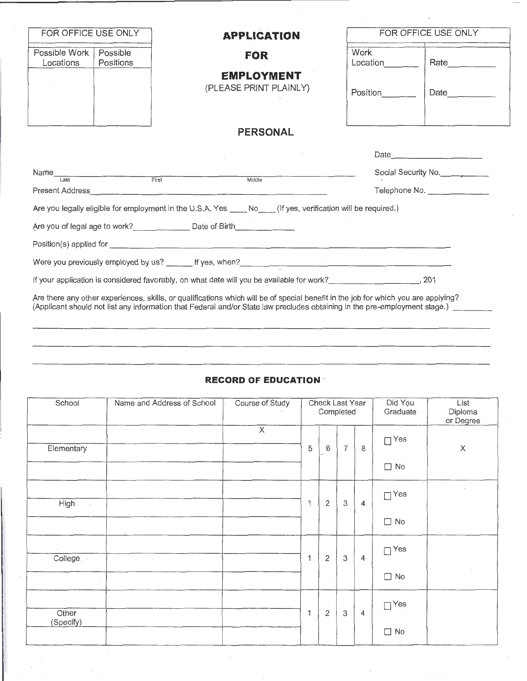| FOR OFFICE USE ONLY                                                                                                                                                                                                                                              |                                    | <b>APPLICATION</b>                                                                                                                                                                                                                   |                  | FOR OFFICE USE ONLY |  |  |  |  |  |
|------------------------------------------------------------------------------------------------------------------------------------------------------------------------------------------------------------------------------------------------------------------|------------------------------------|--------------------------------------------------------------------------------------------------------------------------------------------------------------------------------------------------------------------------------------|------------------|---------------------|--|--|--|--|--|
| Possible Work<br>Locations                                                                                                                                                                                                                                       | Possible<br>Positions              | <b>FOR</b>                                                                                                                                                                                                                           | Work<br>Location | Rate _________      |  |  |  |  |  |
|                                                                                                                                                                                                                                                                  |                                    | <b>EMPLOYMENT</b><br>(PLEASE PRINT PLAINLY)                                                                                                                                                                                          | Position         | Date                |  |  |  |  |  |
|                                                                                                                                                                                                                                                                  |                                    | <b>PERSONAL</b>                                                                                                                                                                                                                      |                  |                     |  |  |  |  |  |
|                                                                                                                                                                                                                                                                  |                                    |                                                                                                                                                                                                                                      |                  | Date 2008           |  |  |  |  |  |
| Name<br>Last                                                                                                                                                                                                                                                     | <b>Example 2014</b><br>First First | Middle                                                                                                                                                                                                                               |                  | Social Security No. |  |  |  |  |  |
|                                                                                                                                                                                                                                                                  |                                    | Present Address <b>Contract Contract Contract Contract Contract Contract Contract Contract Contract Contract Contract Contract Contract Contract Contract Contract Contract Contract Contract Contract Contract Contract Contrac</b> |                  | Telephone No.       |  |  |  |  |  |
|                                                                                                                                                                                                                                                                  |                                    | Are you legally eligible for employment in the U.S.A. Yes No (If yes, verification will be required.)                                                                                                                                |                  |                     |  |  |  |  |  |
|                                                                                                                                                                                                                                                                  |                                    | Are you of legal age to work? Date of Birth                                                                                                                                                                                          |                  |                     |  |  |  |  |  |
|                                                                                                                                                                                                                                                                  |                                    |                                                                                                                                                                                                                                      |                  |                     |  |  |  |  |  |
|                                                                                                                                                                                                                                                                  |                                    |                                                                                                                                                                                                                                      |                  |                     |  |  |  |  |  |
|                                                                                                                                                                                                                                                                  |                                    |                                                                                                                                                                                                                                      |                  |                     |  |  |  |  |  |
| Are there any other experiences, skills, or qualifications which will be of special benefit in the job for which you are applying?<br>(Applicant should not list any information that Federal and/or State law precludes obtaining in the pre-employment stage.) |                                    |                                                                                                                                                                                                                                      |                  |                     |  |  |  |  |  |

## **RECORD OF EDUCATION** -

| School                 | Name and Address of School | Course of Study         |             | Check Last Year<br>Completed |                |                | Did You<br>Graduate | List<br>Diploma<br>or Degree |
|------------------------|----------------------------|-------------------------|-------------|------------------------------|----------------|----------------|---------------------|------------------------------|
| Elementary             |                            | $\overline{\mathsf{x}}$ | 5           | 6                            | $\overline{7}$ | $\,8\,$        | $\Box$ Yes          | $\boldsymbol{\times}$        |
|                        |                            |                         |             |                              |                |                | $\Box$ No           | $\sim$                       |
| <b>High</b><br>$\cdot$ | $\sim$<br>$\sim$           |                         | 1           | $\overline{2}$               | 3              | $\overline{4}$ | $\Box$ Yes          |                              |
|                        |                            |                         |             |                              |                |                | $\Box$ No           |                              |
| College                | $\sim$                     |                         | $\mathbf 1$ | $\mathbf{2}$                 | $\mathfrak{Z}$ | 4              | $\Box$ Yes          |                              |
|                        |                            |                         |             | $\sim$                       |                |                | $\Box$ No           |                              |
| Other                  |                            |                         | 1           | $\overline{2}$               | $\,3$          | 4              | $\Box$ Yes          |                              |
| (Specify)              |                            |                         | $\tau$      |                              |                |                | $\Box$ No           |                              |